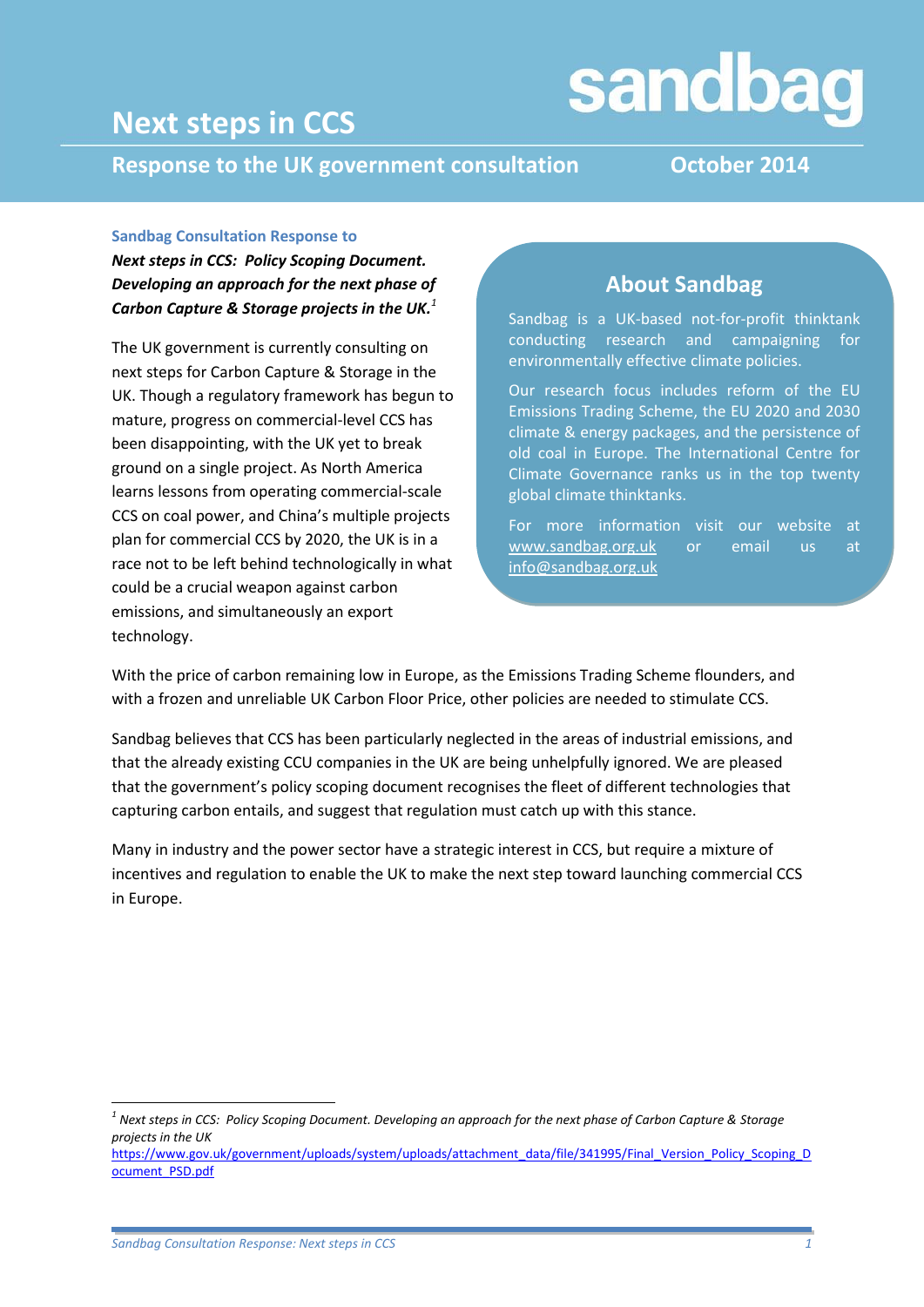## **Next steps in CCS**

# sandbag

**Response to the UK government consultation October 2014**

#### **Sandbag Consultation Response to**

*Next steps in CCS: Policy Scoping Document. Developing an approach for the next phase of Carbon Capture & Storage projects in the UK. 1*

The UK government is currently consulting on next steps for Carbon Capture & Storage in the UK. Though a regulatory framework has begun to mature, progress on commercial-level CCS has been disappointing, with the UK yet to break ground on a single project. As North America learns lessons from operating commercial-scale CCS on coal power, and China's multiple projects plan for commercial CCS by 2020, the UK is in a race not to be left behind technologically in what could be a crucial weapon against carbon emissions, and simultaneously an export technology.

### **About Sandbag**

Sandbag is a UK-based not-for-profit thinktank conducting research and campaigning for environmentally effective climate policies.

Our research focus includes reform of the EU Emissions Trading Scheme, the EU 2020 and 2030 climate & energy packages, and the persistence of old coal in Europe. The International Centre for Climate Governance ranks us in the top twenty global climate thinktanks.

For more information visit our website at [www.sandbag.org.uk](http://www.sandbag.org.uk/) or email us at [info@sandbag.org.uk](mailto:info@sandbag.org.uk)

With the price of carbon remaining low in Europe, as the Emissions Trading Scheme flounders, and with a frozen and unreliable UK Carbon Floor Price, other policies are needed to stimulate CCS.

Sandbag believes that CCS has been particularly neglected in the areas of industrial emissions, and that the already existing CCU companies in the UK are being unhelpfully ignored. We are pleased that the government's policy scoping document recognises the fleet of different technologies that capturing carbon entails, and suggest that regulation must catch up with this stance.

Many in industry and the power sector have a strategic interest in CCS, but require a mixture of incentives and regulation to enable the UK to make the next step toward launching commercial CCS in Europe.

1

*<sup>1</sup> Next steps in CCS: Policy Scoping Document. Developing an approach for the next phase of Carbon Capture & Storage projects in the UK* 

[https://www.gov.uk/government/uploads/system/uploads/attachment\\_data/file/341995/Final\\_Version\\_Policy\\_Scoping\\_D](https://www.gov.uk/government/uploads/system/uploads/attachment_data/file/341995/Final_Version_Policy_Scoping_Document_PSD.pdf) [ocument\\_PSD.pdf](https://www.gov.uk/government/uploads/system/uploads/attachment_data/file/341995/Final_Version_Policy_Scoping_Document_PSD.pdf)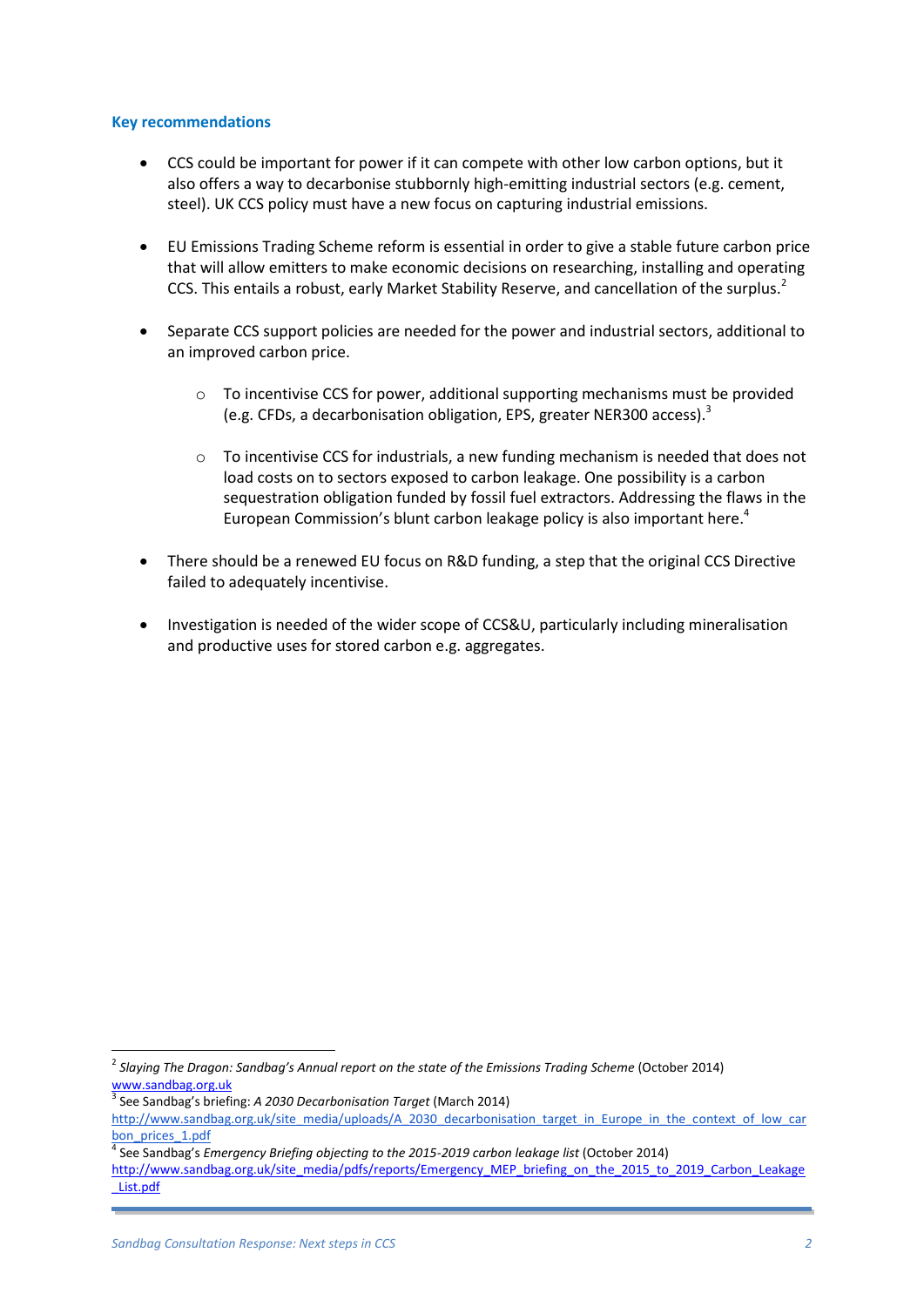#### **Key recommendations**

- CCS could be important for power if it can compete with other low carbon options, but it also offers a way to decarbonise stubbornly high-emitting industrial sectors (e.g. cement, steel). UK CCS policy must have a new focus on capturing industrial emissions.
- EU Emissions Trading Scheme reform is essential in order to give a stable future carbon price that will allow emitters to make economic decisions on researching, installing and operating CCS. This entails a robust, early Market Stability Reserve, and cancellation of the surplus.<sup>2</sup>
- Separate CCS support policies are needed for the power and industrial sectors, additional to an improved carbon price.
	- $\circ$  To incentivise CCS for power, additional supporting mechanisms must be provided (e.g. CFDs, a decarbonisation obligation, EPS, greater NER300 access).<sup>3</sup>
	- $\circ$  To incentivise CCS for industrials, a new funding mechanism is needed that does not load costs on to sectors exposed to carbon leakage. One possibility is a carbon sequestration obligation funded by fossil fuel extractors. Addressing the flaws in the European Commission's blunt carbon leakage policy is also important here.<sup>4</sup>
- There should be a renewed EU focus on R&D funding, a step that the original CCS Directive failed to adequately incentivise.
- Investigation is needed of the wider scope of CCS&U, particularly including mineralisation and productive uses for stored carbon e.g. aggregates.

**.** 

<sup>2</sup> *Slaying The Dragon: Sandbag's Annual report on the state of the Emissions Trading Scheme* (October 2014) [www.sandbag.org.uk](http://www.sandbag.org.uk/)

<sup>3</sup> See Sandbag's briefing: *A 2030 Decarbonisation Target* (March 2014)

[http://www.sandbag.org.uk/site\\_media/uploads/A\\_2030\\_decarbonisation\\_target\\_in\\_Europe\\_in\\_the\\_context\\_of\\_low\\_car](http://www.sandbag.org.uk/site_media/uploads/A_2030_decarbonisation_target_in_Europe_in_the_context_of_low_carbon_prices_1.pdf) [bon\\_prices\\_1.pdf](http://www.sandbag.org.uk/site_media/uploads/A_2030_decarbonisation_target_in_Europe_in_the_context_of_low_carbon_prices_1.pdf)

<sup>4</sup> See Sandbag's *Emergency Briefing objecting to the 2015-2019 carbon leakage list* (October 2014)

[http://www.sandbag.org.uk/site\\_media/pdfs/reports/Emergency\\_MEP\\_briefing\\_on\\_the\\_2015\\_to\\_2019\\_Carbon\\_Leakage](http://www.sandbag.org.uk/site_media/pdfs/reports/Emergency_MEP_briefing_on_the_2015_to_2019_Carbon_Leakage_List.pdf) [\\_List.pdf](http://www.sandbag.org.uk/site_media/pdfs/reports/Emergency_MEP_briefing_on_the_2015_to_2019_Carbon_Leakage_List.pdf)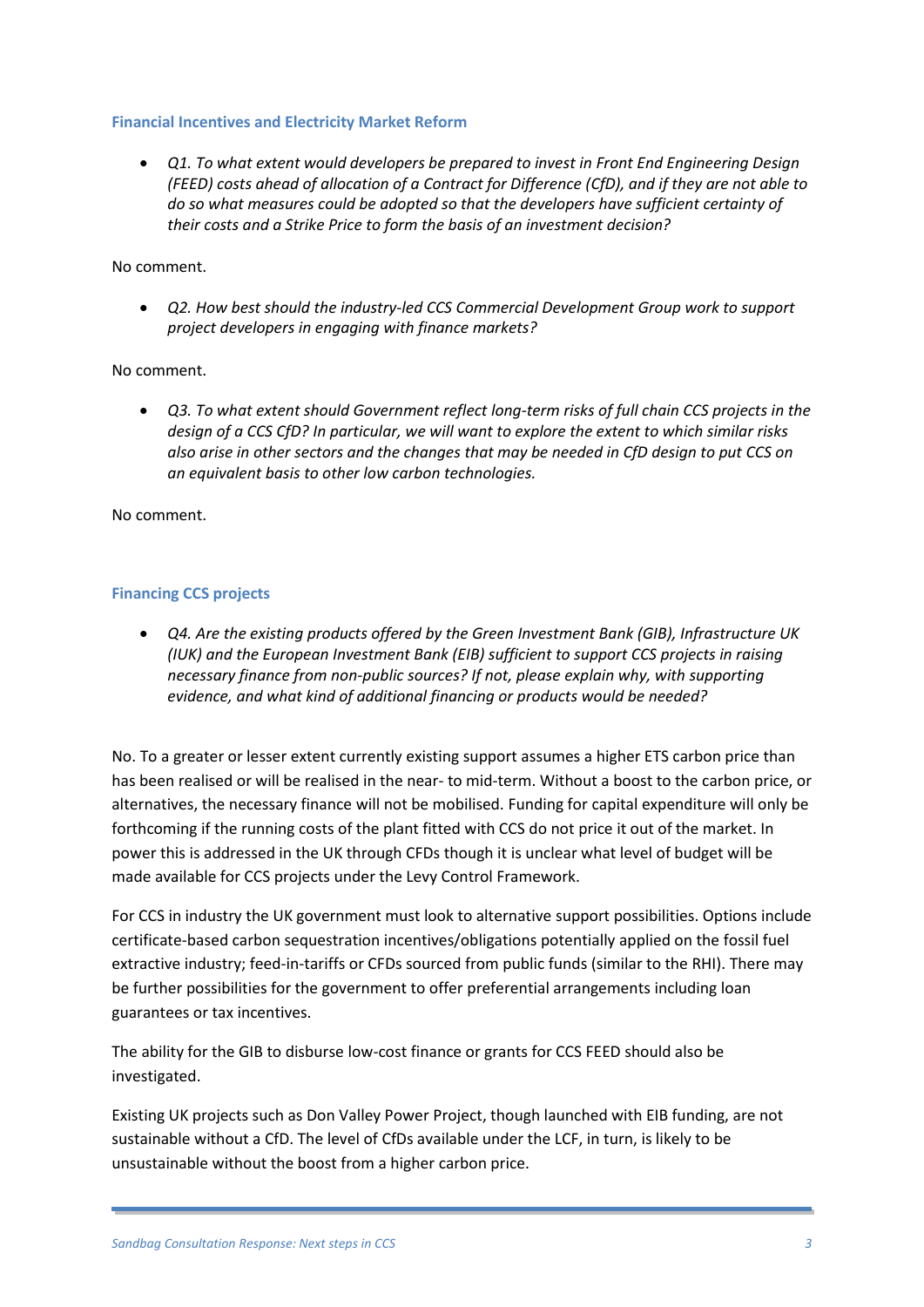#### **Financial Incentives and Electricity Market Reform**

 *Q1. To what extent would developers be prepared to invest in Front End Engineering Design (FEED) costs ahead of allocation of a Contract for Difference (CfD), and if they are not able to do so what measures could be adopted so that the developers have sufficient certainty of their costs and a Strike Price to form the basis of an investment decision?*

#### No comment.

 *Q2. How best should the industry-led CCS Commercial Development Group work to support project developers in engaging with finance markets?*

#### No comment.

 *Q3. To what extent should Government reflect long-term risks of full chain CCS projects in the design of a CCS CfD? In particular, we will want to explore the extent to which similar risks also arise in other sectors and the changes that may be needed in CfD design to put CCS on an equivalent basis to other low carbon technologies.*

#### No comment.

#### **Financing CCS projects**

 *Q4. Are the existing products offered by the Green Investment Bank (GIB), Infrastructure UK (IUK) and the European Investment Bank (EIB) sufficient to support CCS projects in raising necessary finance from non-public sources? If not, please explain why, with supporting evidence, and what kind of additional financing or products would be needed?*

No. To a greater or lesser extent currently existing support assumes a higher ETS carbon price than has been realised or will be realised in the near- to mid-term. Without a boost to the carbon price, or alternatives, the necessary finance will not be mobilised. Funding for capital expenditure will only be forthcoming if the running costs of the plant fitted with CCS do not price it out of the market. In power this is addressed in the UK through CFDs though it is unclear what level of budget will be made available for CCS projects under the Levy Control Framework.

For CCS in industry the UK government must look to alternative support possibilities. Options include certificate-based carbon sequestration incentives/obligations potentially applied on the fossil fuel extractive industry; feed-in-tariffs or CFDs sourced from public funds (similar to the RHI). There may be further possibilities for the government to offer preferential arrangements including loan guarantees or tax incentives.

The ability for the GIB to disburse low-cost finance or grants for CCS FEED should also be investigated.

Existing UK projects such as Don Valley Power Project, though launched with EIB funding, are not sustainable without a CfD. The level of CfDs available under the LCF, in turn, is likely to be unsustainable without the boost from a higher carbon price.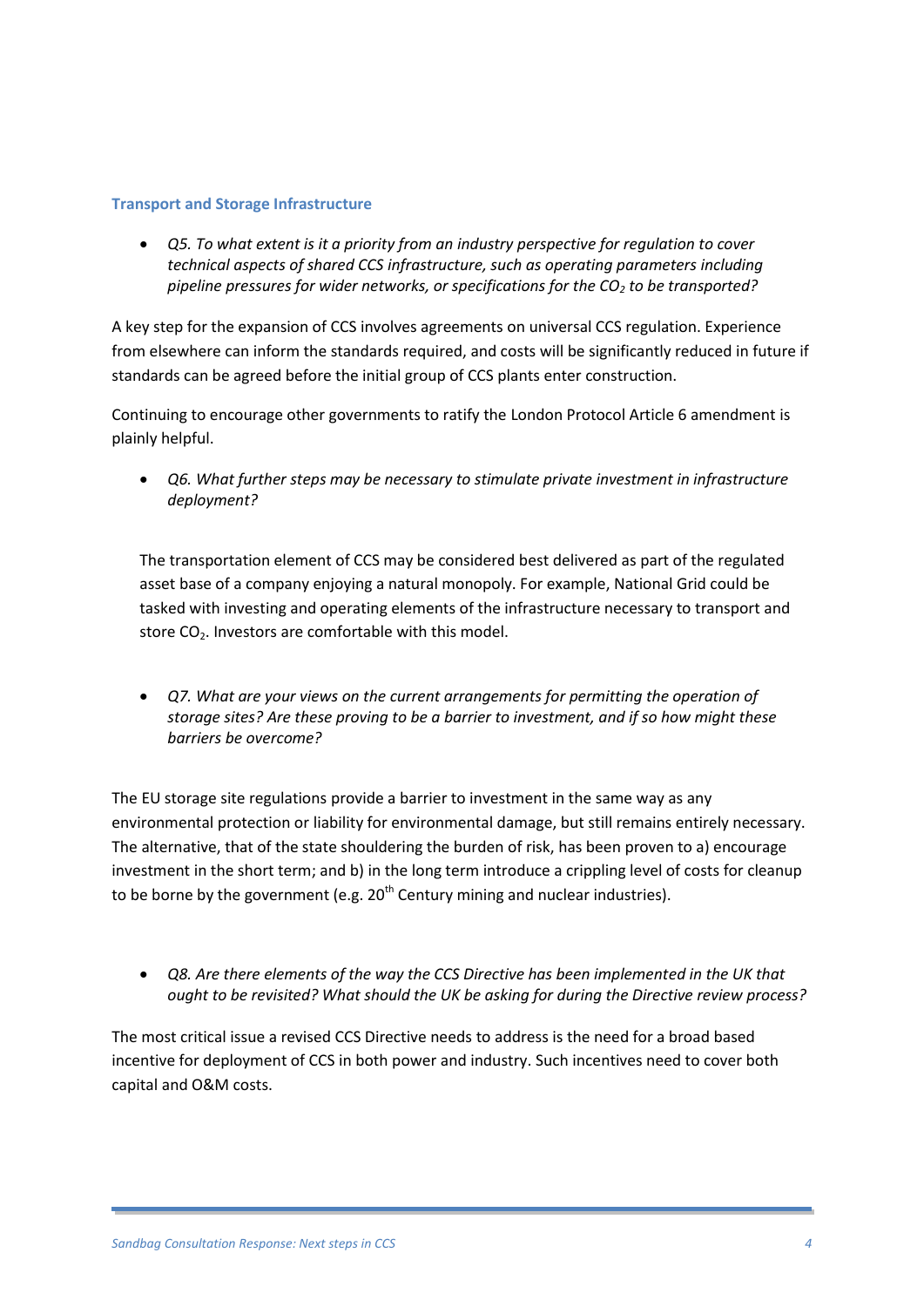#### **Transport and Storage Infrastructure**

 *Q5. To what extent is it a priority from an industry perspective for regulation to cover technical aspects of shared CCS infrastructure, such as operating parameters including pipeline pressures for wider networks, or specifications for the CO<sup>2</sup> to be transported?*

A key step for the expansion of CCS involves agreements on universal CCS regulation. Experience from elsewhere can inform the standards required, and costs will be significantly reduced in future if standards can be agreed before the initial group of CCS plants enter construction.

Continuing to encourage other governments to ratify the London Protocol Article 6 amendment is plainly helpful.

 *Q6. What further steps may be necessary to stimulate private investment in infrastructure deployment?*

The transportation element of CCS may be considered best delivered as part of the regulated asset base of a company enjoying a natural monopoly. For example, National Grid could be tasked with investing and operating elements of the infrastructure necessary to transport and store CO<sub>2</sub>. Investors are comfortable with this model.

 *Q7. What are your views on the current arrangements for permitting the operation of storage sites? Are these proving to be a barrier to investment, and if so how might these barriers be overcome?*

The EU storage site regulations provide a barrier to investment in the same way as any environmental protection or liability for environmental damage, but still remains entirely necessary. The alternative, that of the state shouldering the burden of risk, has been proven to a) encourage investment in the short term; and b) in the long term introduce a crippling level of costs for cleanup to be borne by the government (e.g.  $20<sup>th</sup>$  Century mining and nuclear industries).

• Q8. Are there elements of the way the CCS Directive has been implemented in the UK that *ought to be revisited? What should the UK be asking for during the Directive review process?*

The most critical issue a revised CCS Directive needs to address is the need for a broad based incentive for deployment of CCS in both power and industry. Such incentives need to cover both capital and O&M costs.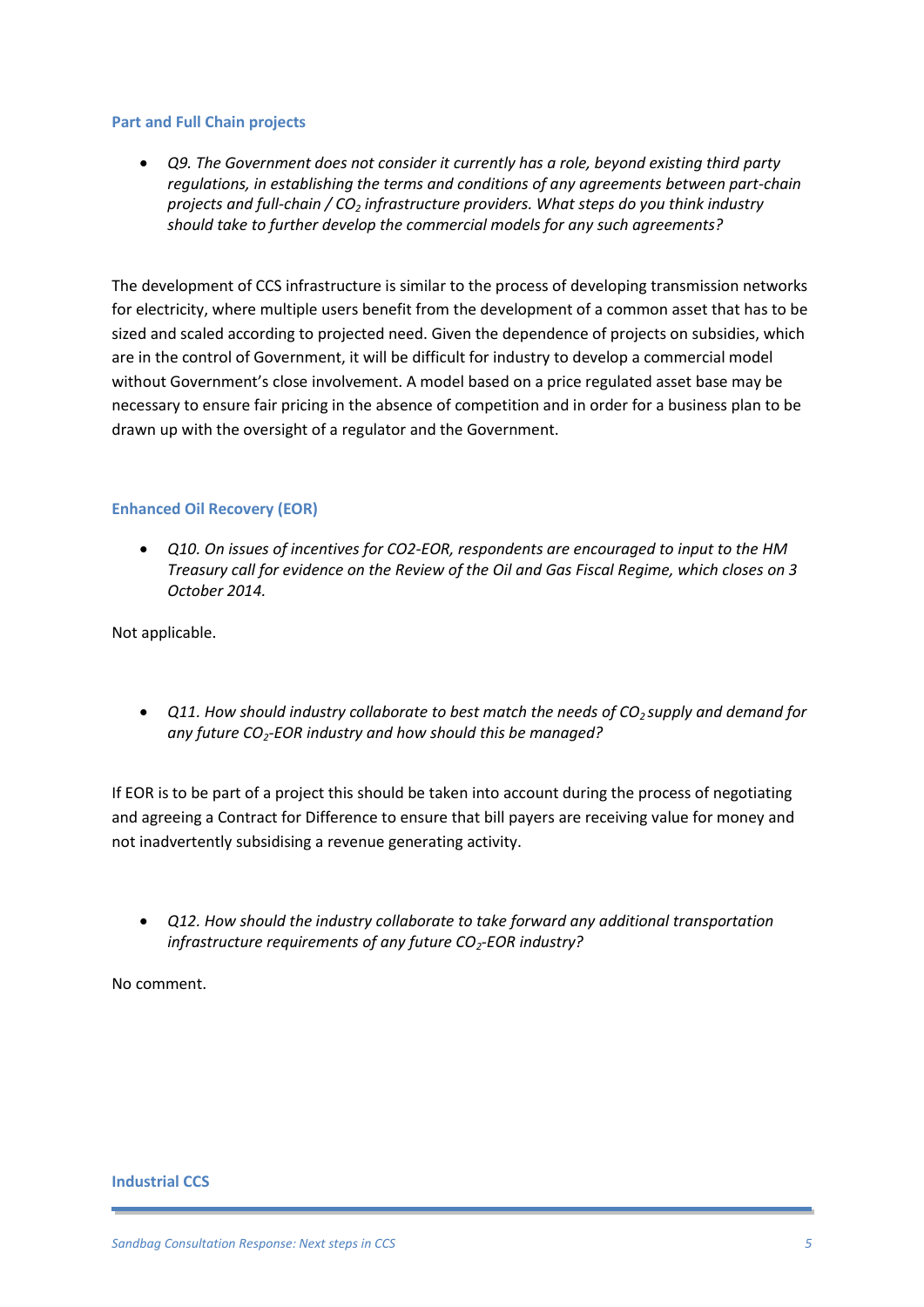#### **Part and Full Chain projects**

• *Q9. The Government does not consider it currently has a role, beyond existing third party regulations, in establishing the terms and conditions of any agreements between part-chain projects and full-chain / CO<sup>2</sup> infrastructure providers. What steps do you think industry should take to further develop the commercial models for any such agreements?*

The development of CCS infrastructure is similar to the process of developing transmission networks for electricity, where multiple users benefit from the development of a common asset that has to be sized and scaled according to projected need. Given the dependence of projects on subsidies, which are in the control of Government, it will be difficult for industry to develop a commercial model without Government's close involvement. A model based on a price regulated asset base may be necessary to ensure fair pricing in the absence of competition and in order for a business plan to be drawn up with the oversight of a regulator and the Government.

#### **Enhanced Oil Recovery (EOR)**

 *Q10. On issues of incentives for CO2-EOR, respondents are encouraged to input to the HM Treasury call for evidence on the Review of the Oil and Gas Fiscal Regime, which closes on 3 October 2014.*

Not applicable.

 *Q11. How should industry collaborate to best match the needs of CO2 supply and demand for any future CO2-EOR industry and how should this be managed?*

If EOR is to be part of a project this should be taken into account during the process of negotiating and agreeing a Contract for Difference to ensure that bill payers are receiving value for money and not inadvertently subsidising a revenue generating activity.

 *Q12. How should the industry collaborate to take forward any additional transportation infrastructure requirements of any future CO2-EOR industry?*

No comment.

**Industrial CCS**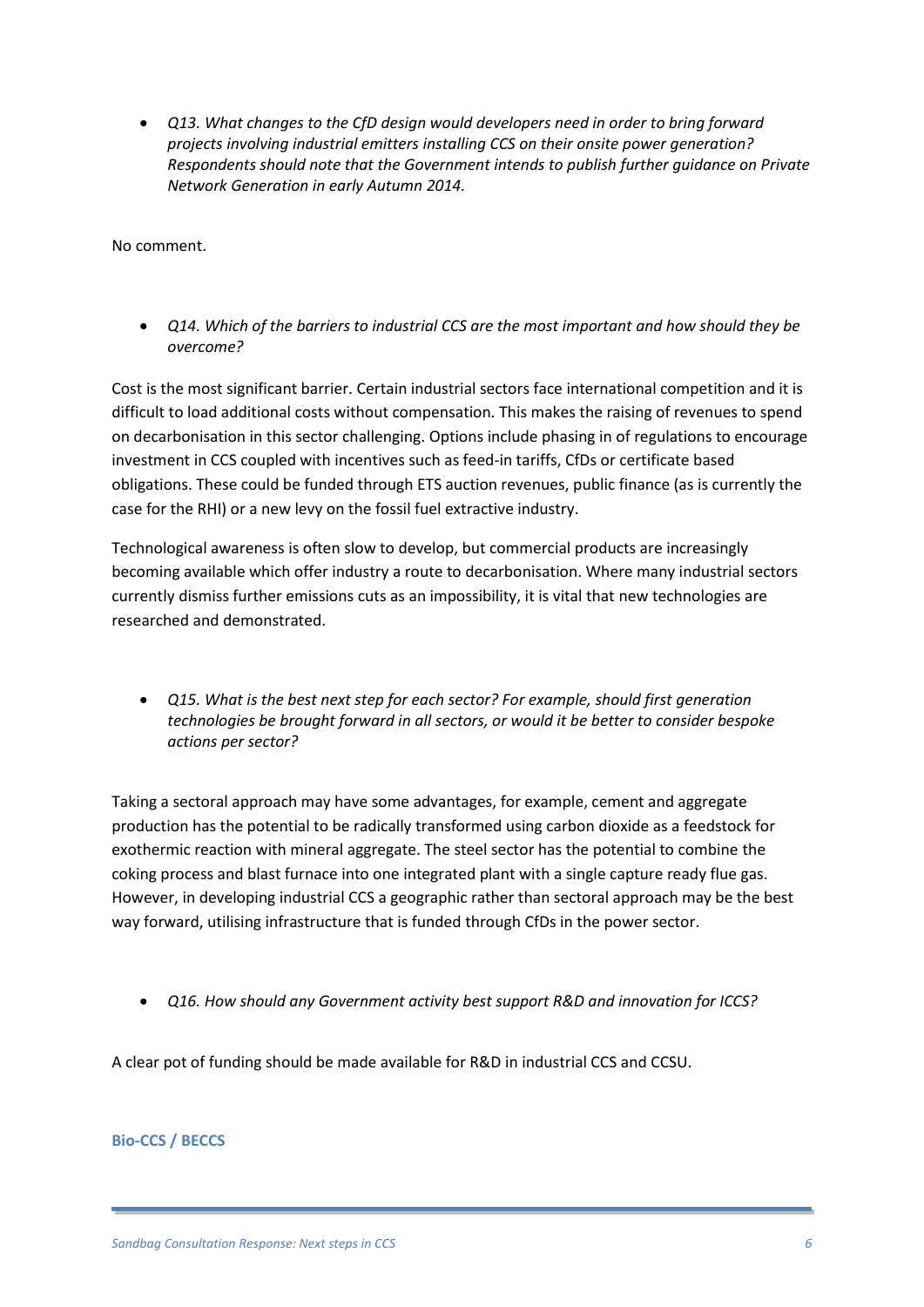*Q13. What changes to the CfD design would developers need in order to bring forward projects involving industrial emitters installing CCS on their onsite power generation? Respondents should note that the Government intends to publish further guidance on Private Network Generation in early Autumn 2014.* 

No comment.

 *Q14. Which of the barriers to industrial CCS are the most important and how should they be overcome?*

Cost is the most significant barrier. Certain industrial sectors face international competition and it is difficult to load additional costs without compensation. This makes the raising of revenues to spend on decarbonisation in this sector challenging. Options include phasing in of regulations to encourage investment in CCS coupled with incentives such as feed-in tariffs, CfDs or certificate based obligations. These could be funded through ETS auction revenues, public finance (as is currently the case for the RHI) or a new levy on the fossil fuel extractive industry.

Technological awareness is often slow to develop, but commercial products are increasingly becoming available which offer industry a route to decarbonisation. Where many industrial sectors currently dismiss further emissions cuts as an impossibility, it is vital that new technologies are researched and demonstrated.

 *Q15. What is the best next step for each sector? For example, should first generation technologies be brought forward in all sectors, or would it be better to consider bespoke actions per sector?*

Taking a sectoral approach may have some advantages, for example, cement and aggregate production has the potential to be radically transformed using carbon dioxide as a feedstock for exothermic reaction with mineral aggregate. The steel sector has the potential to combine the coking process and blast furnace into one integrated plant with a single capture ready flue gas. However, in developing industrial CCS a geographic rather than sectoral approach may be the best way forward, utilising infrastructure that is funded through CfDs in the power sector.

*Q16. How should any Government activity best support R&D and innovation for ICCS?*

A clear pot of funding should be made available for R&D in industrial CCS and CCSU.

#### **Bio-CCS / BECCS**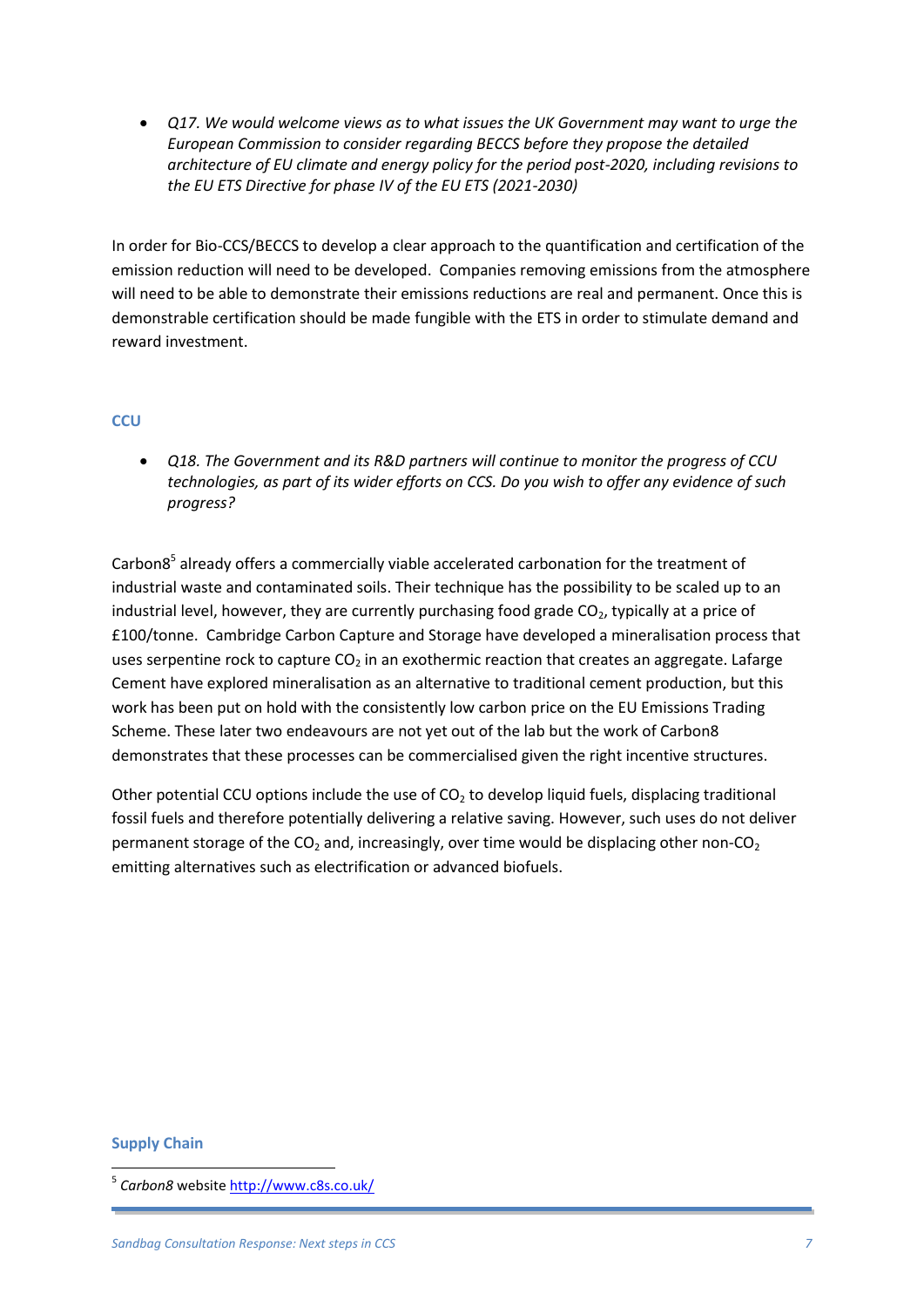*Q17. We would welcome views as to what issues the UK Government may want to urge the European Commission to consider regarding BECCS before they propose the detailed architecture of EU climate and energy policy for the period post-2020, including revisions to the EU ETS Directive for phase IV of the EU ETS (2021-2030)*

In order for Bio-CCS/BECCS to develop a clear approach to the quantification and certification of the emission reduction will need to be developed. Companies removing emissions from the atmosphere will need to be able to demonstrate their emissions reductions are real and permanent. Once this is demonstrable certification should be made fungible with the ETS in order to stimulate demand and reward investment.

#### **CCU**

 *Q18. The Government and its R&D partners will continue to monitor the progress of CCU technologies, as part of its wider efforts on CCS. Do you wish to offer any evidence of such progress?*

Carbon8<sup>5</sup> already offers a commercially viable accelerated carbonation for the treatment of industrial waste and contaminated soils. Their technique has the possibility to be scaled up to an industrial level, however, they are currently purchasing food grade  $CO<sub>2</sub>$ , typically at a price of £100/tonne. Cambridge Carbon Capture and Storage have developed a mineralisation process that uses serpentine rock to capture  $CO<sub>2</sub>$  in an exothermic reaction that creates an aggregate. Lafarge Cement have explored mineralisation as an alternative to traditional cement production, but this work has been put on hold with the consistently low carbon price on the EU Emissions Trading Scheme. These later two endeavours are not yet out of the lab but the work of Carbon8 demonstrates that these processes can be commercialised given the right incentive structures.

Other potential CCU options include the use of  $CO<sub>2</sub>$  to develop liquid fuels, displacing traditional fossil fuels and therefore potentially delivering a relative saving. However, such uses do not deliver permanent storage of the  $CO<sub>2</sub>$  and, increasingly, over time would be displacing other non- $CO<sub>2</sub>$ emitting alternatives such as electrification or advanced biofuels.

#### **Supply Chain**

**.** 

<sup>&</sup>lt;sup>5</sup> *Carbon8* website <u>http://www.c8s.co.uk/</u>